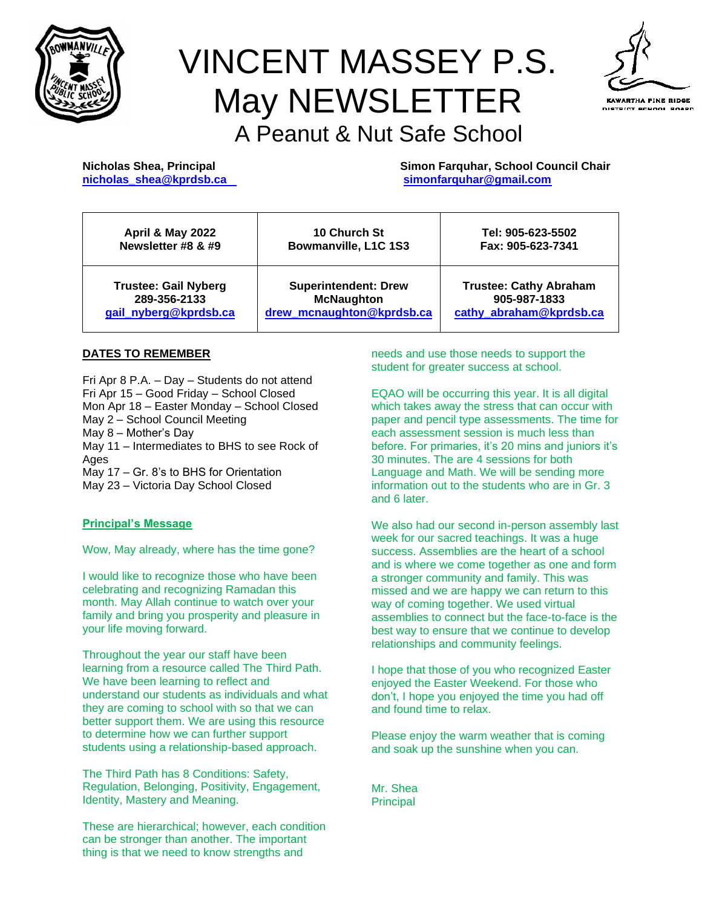

# VINCENT MASSEY P.S. May NEWSLETTER A Peanut & Nut Safe School



**Nicholas Shea, Principal Simon Farquhar, School Council Chair [nicholas\\_shea@kprdsb.ca](mailto:nicholas_shea@kprdsb.ca) [simonfarquhar@gmail.com](mailto:simonfarquhar@gmail.com)**

| <b>April &amp; May 2022</b> | <b>10 Church St</b>         | Tel: 905-623-5502             |
|-----------------------------|-----------------------------|-------------------------------|
| Newsletter #8 & #9          | Bowmanville, L1C 1S3        | Fax: 905-623-7341             |
| <b>Trustee: Gail Nyberg</b> | <b>Superintendent: Drew</b> | <b>Trustee: Cathy Abraham</b> |
| 289-356-2133                | <b>McNaughton</b>           | 905-987-1833                  |
| gail_nyberg@kprdsb.ca       | drew mcnaughton@kprdsb.ca   | cathy_abraham@kprdsb.ca       |

#### **DATES TO REMEMBER**

Fri Apr 8 P.A. – Day – Students do not attend Fri Apr 15 – Good Friday – School Closed Mon Apr 18 – Easter Monday – School Closed May 2 – School Council Meeting May 8 – Mother's Day May 11 – Intermediates to BHS to see Rock of Ages May 17 – Gr. 8's to BHS for Orientation May 23 – Victoria Day School Closed

#### **Principal's Message**

Wow, May already, where has the time gone?

I would like to recognize those who have been celebrating and recognizing Ramadan this month. May Allah continue to watch over your family and bring you prosperity and pleasure in your life moving forward.

Throughout the year our staff have been learning from a resource called The Third Path. We have been learning to reflect and understand our students as individuals and what they are coming to school with so that we can better support them. We are using this resource to determine how we can further support students using a relationship-based approach.

The Third Path has 8 Conditions: Safety, Regulation, Belonging, Positivity, Engagement, Identity, Mastery and Meaning.

These are hierarchical; however, each condition can be stronger than another. The important thing is that we need to know strengths and

needs and use those needs to support the student for greater success at school.

EQAO will be occurring this year. It is all digital which takes away the stress that can occur with paper and pencil type assessments. The time for each assessment session is much less than before. For primaries, it's 20 mins and juniors it's 30 minutes. The are 4 sessions for both Language and Math. We will be sending more information out to the students who are in Gr. 3 and 6 later.

We also had our second in-person assembly last week for our sacred teachings. It was a huge success. Assemblies are the heart of a school and is where we come together as one and form a stronger community and family. This was missed and we are happy we can return to this way of coming together. We used virtual assemblies to connect but the face-to-face is the best way to ensure that we continue to develop relationships and community feelings.

I hope that those of you who recognized Easter enjoyed the Easter Weekend. For those who don't, I hope you enjoyed the time you had off and found time to relax.

Please enjoy the warm weather that is coming and soak up the sunshine when you can.

Mr. Shea **Principal**